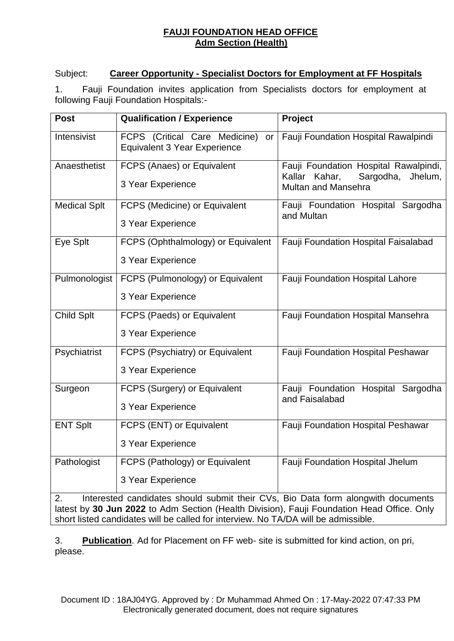## **FAUJI FOUNDATION HEAD OFFICE Adm Section (Health)**

## Subject: **Career Opportunity - Specialist Doctors for Employment at FF Hospitals**

1. Fauji Foundation invites application from Specialists doctors for employment at following Fauji Foundation Hospitals:-

| <b>Post</b>         | <b>Qualification / Experience</b>                                          | Project                                                                                                      |
|---------------------|----------------------------------------------------------------------------|--------------------------------------------------------------------------------------------------------------|
| Intensivist         | FCPS (Critical Care Medicine)<br>or<br><b>Equivalent 3 Year Experience</b> | Fauji Foundation Hospital Rawalpindi                                                                         |
| Anaesthetist        | FCPS (Anaes) or Equivalent<br>3 Year Experience                            | Fauji Foundation Hospital Rawalpindi,<br>Kallar Kahar,<br>Sargodha,<br>Jhelum,<br><b>Multan and Mansehra</b> |
| <b>Medical Splt</b> | <b>FCPS</b> (Medicine) or Equivalent<br>3 Year Experience                  | Fauji Foundation Hospital Sargodha<br>and Multan                                                             |
| Eye Splt            | FCPS (Ophthalmology) or Equivalent<br>3 Year Experience                    | Fauji Foundation Hospital Faisalabad                                                                         |
| Pulmonologist       | FCPS (Pulmonology) or Equivalent<br>3 Year Experience                      | Fauji Foundation Hospital Lahore                                                                             |
| <b>Child Splt</b>   | FCPS (Paeds) or Equivalent<br>3 Year Experience                            | Fauji Foundation Hospital Mansehra                                                                           |
| Psychiatrist        | FCPS (Psychiatry) or Equivalent<br>3 Year Experience                       | Fauji Foundation Hospital Peshawar                                                                           |
| Surgeon             | FCPS (Surgery) or Equivalent<br>3 Year Experience                          | Fauji Foundation Hospital Sargodha<br>and Faisalabad                                                         |
| <b>ENT Splt</b>     | FCPS (ENT) or Equivalent<br>3 Year Experience                              | Fauji Foundation Hospital Peshawar                                                                           |
| Pathologist         | FCPS (Pathology) or Equivalent<br>3 Year Experience                        | Fauji Foundation Hospital Jhelum                                                                             |

2. Interested candidates should submit their CVs, Bio Data form alongwith documents latest by **30 Jun 2022** to Adm Section (Health Division), Fauji Foundation Head Office. Only short listed candidates will be called for interview. No TA/DA will be admissible.

3. **Publication**. Ad for Placement on FF web- site is submitted for kind action, on pri, please.